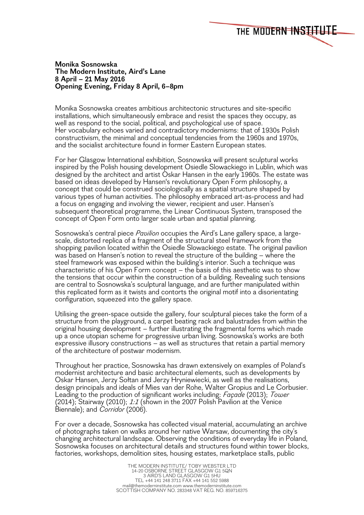## **Monika Sosnowska The Modern Institute, Aird's Lane 8 April – 21 May 2016 Opening Evening, Friday 8 April, 6–8pm**

Monika Sosnowska creates ambitious architectonic structures and site-specific installations, which simultaneously embrace and resist the spaces they occupy, as well as respond to the social, political, and psychological use of space. Her vocabulary echoes varied and contradictory modernisms: that of 1930s Polish constructivism, the minimal and conceptual tendencies from the 1960s and 1970s, and the socialist architecture found in former Eastern European states.

THE MODERN INSTITUTE

For her Glasgow International exhibition, Sosnowska will present sculptural works inspired by the Polish housing development Osiedle Slowackiego in Lublin, which was designed by the architect and artist Oskar Hansen in the early 1960s. The estate was based on ideas developed by Hansen's revolutionary Open Form philosophy, a concept that could be construed sociologically as a spatial structure shaped by various types of human activities. The philosophy embraced art-as-process and had a focus on engaging and involving the viewer, recipient and user. Hansen's subsequent theoretical programme, the Linear Continuous System, transposed the concept of Open Form onto larger scale urban and spatial planning.

Sosnowska's central piece *Pavilion* occupies the Aird's Lane gallery space, a largescale, distorted replica of a fragment of the structural steel framework from the shopping pavilion located within the Osiedle Slowackiego estate. The original pavilion was based on Hansen's notion to reveal the structure of the building – where the steel framework was exposed within the building's interior. Such a technique was characteristic of his Open Form concept – the basis of this aesthetic was to show the tensions that occur within the construction of a building. Revealing such tensions are central to Sosnowska's sculptural language, and are further manipulated within this replicated form as it twists and contorts the original motif into a disorientating configuration, squeezed into the gallery space.

Utilising the green-space outside the gallery, four sculptural pieces take the form of a structure from the playground, a carpet beating rack and balustrades from within the original housing development – further illustrating the fragmental forms which made up a once utopian scheme for progressive urban living. Sosnowska's works are both expressive illusory constructions – as well as structures that retain a partial memory of the architecture of postwar modernism.

Throughout her practice, Sosnowska has drawn extensively on examples of Poland's modernist architecture and basic architectural elements, such as developments by Oskar Hansen, Jerzy Sołtan and Jerzy Hryniewiecki, as well as the realisations, design principals and ideals of Mies van der Rohe, Walter Gropius and Le Corbusier. Leading to the production of significant works including: *Façade* (2013); *Tower* (2014); Stairway (2010); *1:1* (shown in the 2007 Polish Pavilion at the Venice Biennale); and *Corridor* (2006).

For over a decade, Sosnowska has collected visual material, accumulating an archive of photographs taken on walks around her native Warsaw, documenting the city's changing architectural landscape. Observing the conditions of everyday life in Poland, Sosnowska focuses on architectural details and structures found within tower blocks, factories, workshops, demolition sites*,* housing estates, marketplace stalls, public